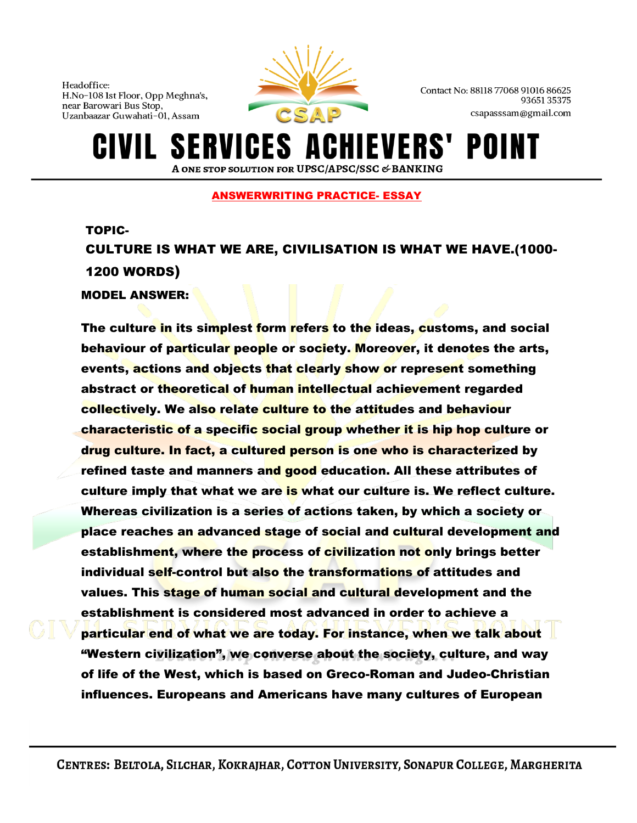

Contact No: 88118 77068 91016 86625 9365135375 csapasssam@gmail.com

## **SERVICES A** HIEVERS' POI A ONE STOP SOLUTION FOR UPSC/APSC/SSC & BANKING

## ANSWERWRITING PRACTICE- ESSAY

TOPIC-

CULTURE IS WHAT WE ARE, CIVILISATION IS WHAT WE HAVE.(1000- 1200 WORDS)

MODEL ANSWER:

The culture in its simplest form refers to the ideas, customs, and social behaviour of particular people or society. Moreover, it denotes the arts, events, actions and objects that clearly show or represent something abstract or theoretical of human intellectual achievement regarded collectively. We also relate culture to the attitudes and behaviour characteristic of a specific social group whether it is hip hop culture or drug culture. In fact, a cultured person is one who is characterized by refined taste and manners and good education. All these attributes of culture imply that what we are is what our culture is. We reflect culture. Whereas civilization is a series of actions taken, by which a society or place reaches an advanced stage of social and cultural development and establishment, where the process of civilization not only brings better individual self-control but also the transformations of attitudes and values. This stage of human social and cultural development and the establishment is considered most advanced in order to achieve a particular end of what we are today. For instance, when we talk about "Western civilization", we converse about the society, culture, and way of life of the West, which is based on Greco-Roman and Judeo-Christian influences. Europeans and Americans have many cultures of European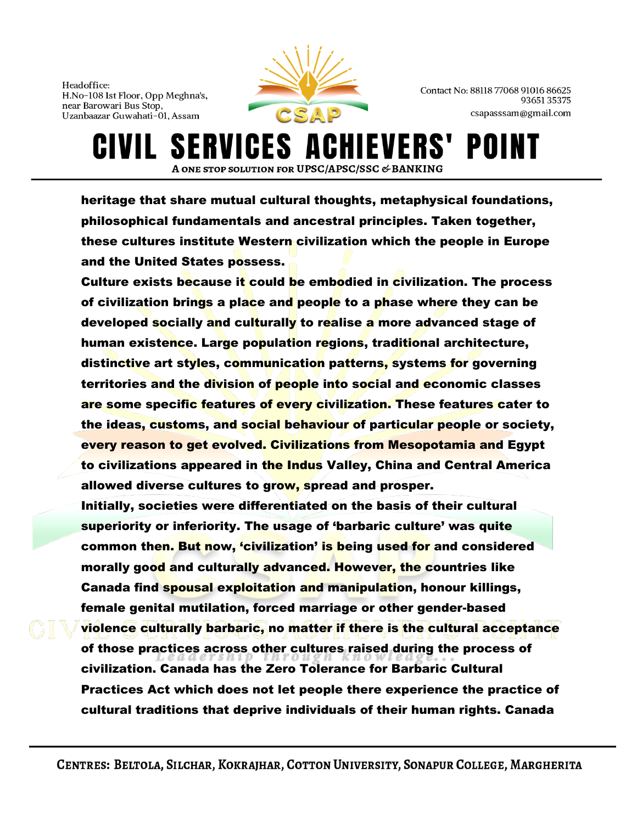

Contact No: 88118 77068 91016 86625 9365135375 csapasssam@gmail.com

IEVERS' POII **SERVICES A** A ONE STOP SOLUTION FOR UPSC/APSC/SSC & BANKING

heritage that share mutual cultural thoughts, metaphysical foundations, philosophical fundamentals and ancestral principles. Taken together, these cultures institute Western civilization which the people in Europe and the United States possess.

Culture exists because it could be embodied in civilization. The process of civilization brings a place and people to a phase where they can be developed socially and culturally to realise a more advanced stage of human existence. Large population regions, traditional architecture, distinctive art styles, communication patterns, systems for governing territories and the division of people into social and economic classes are some specific features of every civilization. These features cater to the ideas, customs, and social behaviour of particular people or society, every reason to get evolved. Civilizations from Mesopotamia and Egypt to civilizations appeared in the Indus Valley, China and Central America allowed diverse cultures to grow, spread and prosper.

Initially, societies were differentiated on the basis of their cultural superiority or inferiority. The usage of 'barbaric culture' was quite common then. But now, 'civilization' is being used for and considered morally good and culturally advanced. However, the countries like Canada find spousal exploitation and manipulation, honour killings, female genital mutilation, forced marriage or other gender-based violence culturally barbaric, no matter if there is the cultural acceptance of those practices across other cultures raised during the process of civilization. Canada has the Zero Tolerance for Barbaric Cultural Practices Act which does not let people there experience the practice of cultural traditions that deprive individuals of their human rights. Canada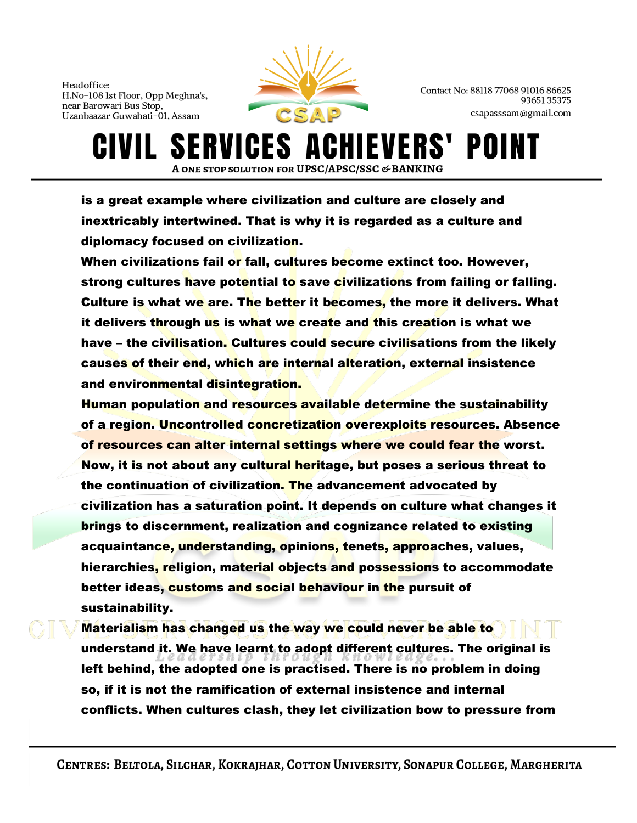

Contact No: 88118 77068 91016 86625 9365135375 csapasssam@gmail.com

**IEVERS' SERVICES A** POI IVIL I A ONE STOP SOLUTION FOR UPSC/APSC/SSC & BANKING

is a great example where civilization and culture are closely and inextricably intertwined. That is why it is regarded as a culture and diplomacy focused on civilization.

When civilizations fail or fall, cultures become extinct too. However, strong cultures have potential to save civilizations from failing or falling. Culture is what we are. The better it becomes, the more it delivers. What it delivers through us is what we create and this creation is what we have – the civilisation. Cultures could secure civilisations from the likely causes of their end, which are internal alteration, external insistence and environmental disintegration.

Human population and resources available determine the sustainability of a region. Uncontrolled concretization overexploits resources. Absence of resources can alter internal settings where we could fear the worst. Now, it is not about any cultural heritage, but poses a serious threat to the continuation of civilization. The advancement advocated by civilization has a saturation point. It depends on culture what changes it brings to discernment, realization and cognizance related to existing acquaintance, understanding, opinions, tenets, approaches, values, hierarchies, religion, material objects and possessions to accommodate better ideas, customs and social behaviour in the pursuit of sustainability.

Materialism has changed us the way we could never be able to understand it. We have learnt to adopt different cultures. The original is left behind, the adopted one is practised. There is no problem in doing so, if it is not the ramification of external insistence and internal conflicts. When cultures clash, they let civilization bow to pressure from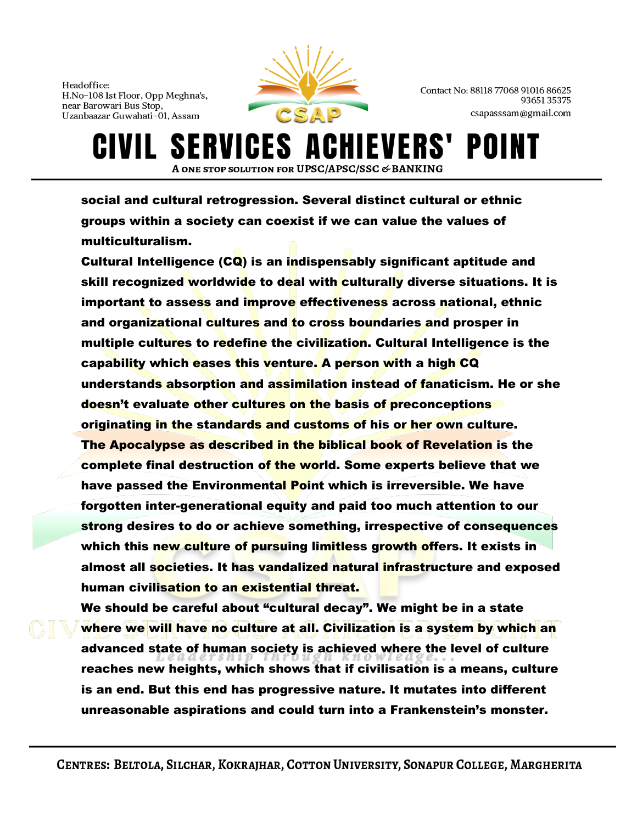

Contact No: 88118 77068 91016 86625 9365135375 csapasssam@gmail.com

IVIL SERVICES AI HIEVERS' POII A ONE STOP SOLUTION FOR UPSC/APSC/SSC & BANKING

social and cultural retrogression. Several distinct cultural or ethnic groups within a society can coexist if we can value the values of multiculturalism.

Cultural Intelligence (CQ) is an indispensably significant aptitude and skill recognized worldwide to deal with culturally diverse situations. It is important to assess and improve effectiveness across national, ethnic and organizational cultures and to cross boundaries and prosper in multiple cultures to redefine the civilization. Cultural Intelligence is the capability which eases this venture. A person with a high CQ understands absorption and assimilation instead of fanaticism. He or she doesn't evaluate other cultures on the basis of preconceptions originating in the standards and customs of his or her own culture. The Apocalypse as described in the biblical book of Revelation is the complete final destruction of the world. Some experts believe that we have passed the Environmental Point which is irreversible. We have forgotten inter-generational equity and paid too much attention to our strong desires to do or achieve something, irrespective of consequences which this new culture of pursuing limitless growth offers. It exists in almost all societies. It has vandalized natural infrastructure and exposed human civilisation to an existential threat.

We should be careful about "cultural decay". We might be in a state where we will have no culture at all. Civilization is a system by which an advanced state of human society is achieved where the level of culture reaches new heights, which shows that if civilisation is a means, culture is an end. But this end has progressive nature. It mutates into different unreasonable aspirations and could turn into a Frankenstein's monster.